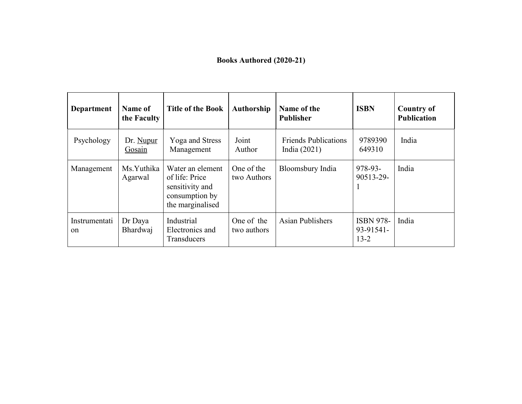## **Books Authored (2020-21)**

| <b>Department</b>              | Name of<br>the Faculty | <b>Title of the Book</b>                                                                    | Authorship                | Name of the<br><b>Publisher</b>               | <b>ISBN</b>                               | <b>Country of</b><br><b>Publication</b> |
|--------------------------------|------------------------|---------------------------------------------------------------------------------------------|---------------------------|-----------------------------------------------|-------------------------------------------|-----------------------------------------|
| Psychology                     | Dr. Nupur<br>Gosain    | Yoga and Stress<br>Management                                                               | Joint<br>Author           | <b>Friends Publications</b><br>India $(2021)$ | 9789390<br>649310                         | India                                   |
| Management                     | Ms.Yuthika<br>Agarwal  | Water an element<br>of life: Price<br>sensitivity and<br>consumption by<br>the marginalised | One of the<br>two Authors | Bloomsbury India                              | 978-93-<br>90513-29-                      | India                                   |
| Instrumentati<br><sub>on</sub> | Dr Daya<br>Bhardwaj    | Industrial<br>Electronics and<br>Transducers                                                | One of the<br>two authors | <b>Asian Publishers</b>                       | <b>ISBN 978-</b><br>93-91541-<br>$13 - 2$ | India                                   |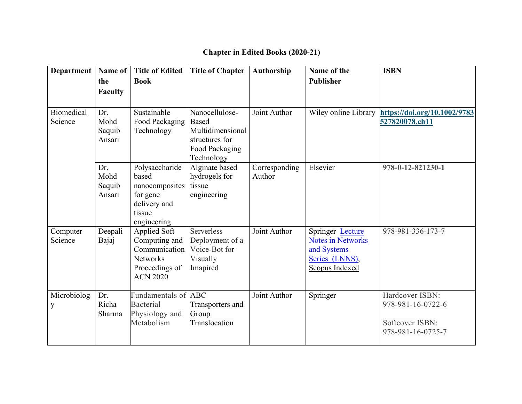| Department                   | Name of<br>the<br><b>Faculty</b> | <b>Title of Edited</b><br><b>Book</b>                                                                  | <b>Title of Chapter</b>                                                                              | Authorship              | Name of the<br><b>Publisher</b>                                                                 | <b>ISBN</b>                                                                  |
|------------------------------|----------------------------------|--------------------------------------------------------------------------------------------------------|------------------------------------------------------------------------------------------------------|-------------------------|-------------------------------------------------------------------------------------------------|------------------------------------------------------------------------------|
| <b>Biomedical</b><br>Science | Dr.<br>Mohd<br>Saquib<br>Ansari  | Sustainable<br>Food Packaging<br>Technology                                                            | Nanocellulose-<br><b>Based</b><br>Multidimensional<br>structures for<br>Food Packaging<br>Technology | Joint Author            | Wiley online Library                                                                            | https://doi.org/10.1002/9783<br>527820078.ch11                               |
|                              | Dr.<br>Mohd<br>Saquib<br>Ansari  | Polysaccharide<br>based<br>nanocomposites<br>for gene<br>delivery and<br>tissue<br>engineering         | Alginate based<br>hydrogels for<br>tissue<br>engineering                                             | Corresponding<br>Author | Elsevier                                                                                        | 978-0-12-821230-1                                                            |
| Computer<br>Science          | Deepali<br>Bajaj                 | Applied Soft<br>Computing and<br>Communication<br><b>Networks</b><br>Proceedings of<br><b>ACN 2020</b> | Serverless<br>Deployment of a<br>Voice-Bot for<br>Visually<br>Imapired                               | Joint Author            | Springer Lecture<br><b>Notes in Networks</b><br>and Systems<br>Series (LNNS),<br>Scopus Indexed | 978-981-336-173-7                                                            |
| Microbiolog<br>y             | Dr.<br>Richa<br>Sharma           | Fundamentals of<br><b>Bacterial</b><br>Physiology and<br>Metabolism                                    | <b>ABC</b><br>Transporters and<br>Group<br>Translocation                                             | Joint Author            | Springer                                                                                        | Hardcover ISBN:<br>978-981-16-0722-6<br>Softcover ISBN:<br>978-981-16-0725-7 |

## **Chapter in Edited Books (2020-21)**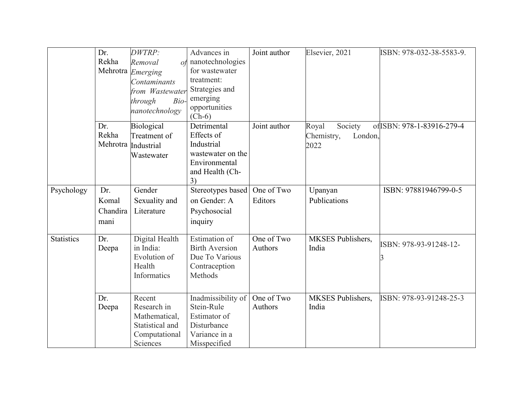|                   | Dr.      | DWTRP:              | Advances in           | Joint author | Elsevier, 2021           | ISBN: 978-032-38-5583-9.   |
|-------------------|----------|---------------------|-----------------------|--------------|--------------------------|----------------------------|
|                   | Rekha    | Removal             | $of$ nanotechnologies |              |                          |                            |
|                   | Mehrotra | Emerging            | for wastewater        |              |                          |                            |
|                   |          | Contaminants        | treatment:            |              |                          |                            |
|                   |          | from Wastewater     | Strategies and        |              |                          |                            |
|                   |          | through<br>Bio-     | emerging              |              |                          |                            |
|                   |          | nanotechnology      | opportunities         |              |                          |                            |
|                   |          |                     | $(Ch-6)$              |              |                          |                            |
|                   | Dr.      | Biological          | Detrimental           | Joint author | Royal<br>Society         | of ISBN: 978-1-83916-279-4 |
|                   | Rekha    | Treatment of        | Effects of            |              | Chemistry,<br>London,    |                            |
|                   |          | Mehrotra Industrial | Industrial            |              | 2022                     |                            |
|                   |          | Wastewater          | wastewater on the     |              |                          |                            |
|                   |          |                     | Environmental         |              |                          |                            |
|                   |          |                     | and Health (Ch-       |              |                          |                            |
|                   |          |                     | 3)                    |              |                          |                            |
| Psychology        | Dr.      | Gender              | Stereotypes based     | One of Two   | Upanyan                  | ISBN: 97881946799-0-5      |
|                   | Komal    | Sexuality and       | on Gender: A          | Editors      | Publications             |                            |
|                   | Chandira | Literature          | Psychosocial          |              |                          |                            |
|                   | mani     |                     | inquiry               |              |                          |                            |
|                   |          |                     |                       |              |                          |                            |
| <b>Statistics</b> | Dr.      | Digital Health      | <b>Estimation</b> of  | One of Two   | <b>MKSES</b> Publishers, |                            |
|                   | Deepa    | in India:           | <b>Birth Aversion</b> | Authors      | India                    | ISBN: 978-93-91248-12-     |
|                   |          | Evolution of        | Due To Various        |              |                          |                            |
|                   |          | Health              | Contraception         |              |                          |                            |
|                   |          | Informatics         | Methods               |              |                          |                            |
|                   |          |                     |                       |              |                          |                            |
|                   | Dr.      | Recent              | Inadmissibility of    | One of Two   | <b>MKSES</b> Publishers, | ISBN: 978-93-91248-25-3    |
|                   | Deepa    | Research in         | Stein-Rule            | Authors      | India                    |                            |
|                   |          | Mathematical,       | Estimator of          |              |                          |                            |
|                   |          | Statistical and     | Disturbance           |              |                          |                            |
|                   |          | Computational       | Variance in a         |              |                          |                            |
|                   |          | Sciences            | Misspecified          |              |                          |                            |
|                   |          |                     |                       |              |                          |                            |